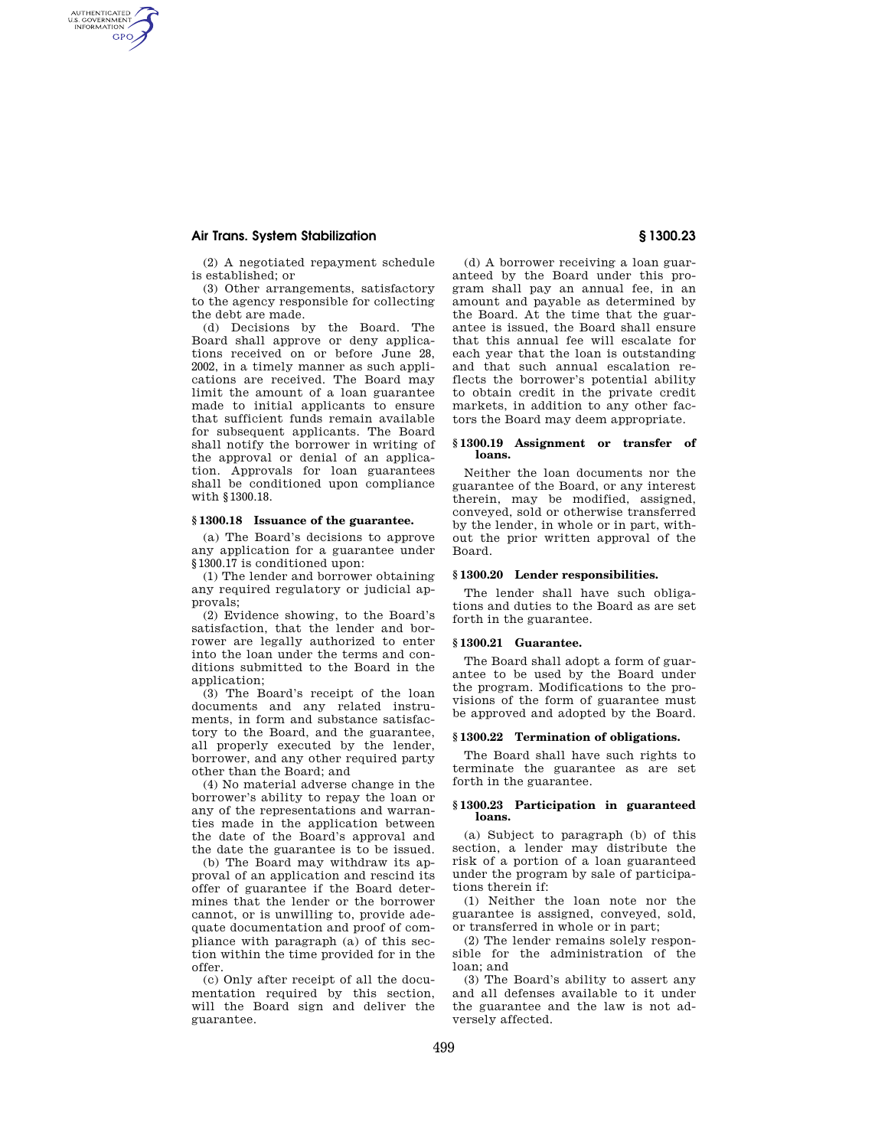# **Air Trans. System Stabilization § 1300.23**

AUTHENTICATED<br>U.S. GOVERNMENT<br>INFORMATION **GPO** 

> (2) A negotiated repayment schedule is established; or

> (3) Other arrangements, satisfactory to the agency responsible for collecting the debt are made.

(d) Decisions by the Board. The Board shall approve or deny applications received on or before June 28, 2002, in a timely manner as such applications are received. The Board may limit the amount of a loan guarantee made to initial applicants to ensure that sufficient funds remain available for subsequent applicants. The Board shall notify the borrower in writing of the approval or denial of an application. Approvals for loan guarantees shall be conditioned upon compliance with §1300.18.

# **§ 1300.18 Issuance of the guarantee.**

(a) The Board's decisions to approve any application for a guarantee under §1300.17 is conditioned upon:

(1) The lender and borrower obtaining any required regulatory or judicial approvals;

(2) Evidence showing, to the Board's satisfaction, that the lender and borrower are legally authorized to enter into the loan under the terms and conditions submitted to the Board in the application;

(3) The Board's receipt of the loan documents and any related instruments, in form and substance satisfactory to the Board, and the guarantee, all properly executed by the lender, borrower, and any other required party other than the Board; and

(4) No material adverse change in the borrower's ability to repay the loan or any of the representations and warranties made in the application between the date of the Board's approval and the date the guarantee is to be issued.

(b) The Board may withdraw its approval of an application and rescind its offer of guarantee if the Board determines that the lender or the borrower cannot, or is unwilling to, provide adequate documentation and proof of compliance with paragraph (a) of this section within the time provided for in the offer.

(c) Only after receipt of all the documentation required by this section, will the Board sign and deliver the guarantee.

(d) A borrower receiving a loan guaranteed by the Board under this program shall pay an annual fee, in an amount and payable as determined by the Board. At the time that the guarantee is issued, the Board shall ensure that this annual fee will escalate for each year that the loan is outstanding and that such annual escalation reflects the borrower's potential ability to obtain credit in the private credit markets, in addition to any other factors the Board may deem appropriate.

#### **§ 1300.19 Assignment or transfer of loans.**

Neither the loan documents nor the guarantee of the Board, or any interest therein, may be modified, assigned, conveyed, sold or otherwise transferred by the lender, in whole or in part, without the prior written approval of the Board.

### **§ 1300.20 Lender responsibilities.**

The lender shall have such obligations and duties to the Board as are set forth in the guarantee.

#### **§ 1300.21 Guarantee.**

The Board shall adopt a form of guarantee to be used by the Board under the program. Modifications to the provisions of the form of guarantee must be approved and adopted by the Board.

#### **§ 1300.22 Termination of obligations.**

The Board shall have such rights to terminate the guarantee as are set forth in the guarantee.

#### **§ 1300.23 Participation in guaranteed loans.**

(a) Subject to paragraph (b) of this section, a lender may distribute the risk of a portion of a loan guaranteed under the program by sale of participations therein if:

(1) Neither the loan note nor the guarantee is assigned, conveyed, sold, or transferred in whole or in part;

(2) The lender remains solely responsible for the administration of the loan; and

(3) The Board's ability to assert any and all defenses available to it under the guarantee and the law is not adversely affected.